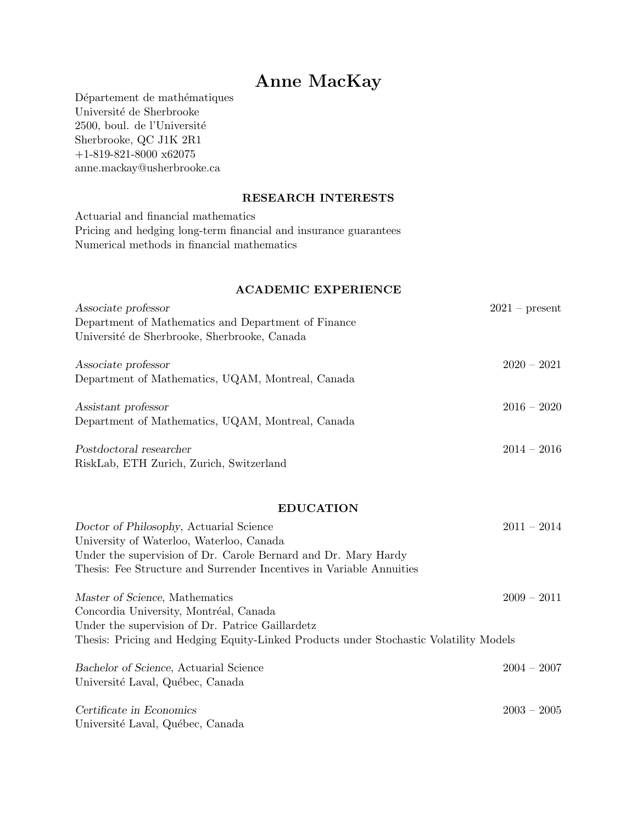# Anne MacKay

Département de mathématiques Université de Sherbrooke 2500, boul. de l'Université Sherbrooke, QC J1K 2R1  $+1\text{-}819\text{-}821\text{-}8000$  x62075 anne.mackay@usherbrooke.ca

## RESEARCH INTERESTS

Actuarial and financial mathematics Pricing and hedging long-term financial and insurance guarantees Numerical methods in financial mathematics

## ACADEMIC EXPERIENCE

| $2021$ – present |
|------------------|
|                  |
|                  |
| $2020 - 2021$    |
|                  |
| $2016 - 2020$    |
|                  |
| $2014 - 2016$    |
|                  |
|                  |

## EDUCATION

| Doctor of Philosophy, Actuarial Science<br>University of Waterloo, Waterloo, Canada   | $2011 - 2014$ |
|---------------------------------------------------------------------------------------|---------------|
| Under the supervision of Dr. Carole Bernard and Dr. Mary Hardy                        |               |
| Thesis: Fee Structure and Surrender Incentives in Variable Annuities                  |               |
| Master of Science, Mathematics                                                        | $2009 - 2011$ |
| Concordia University, Montréal, Canada                                                |               |
| Under the supervision of Dr. Patrice Gaillardetz                                      |               |
| Thesis: Pricing and Hedging Equity-Linked Products under Stochastic Volatility Models |               |
| Bachelor of Science, Actuarial Science                                                | $2004 - 2007$ |
| Université Laval, Québec, Canada                                                      |               |
| Certificate in Economics                                                              | $2003 - 2005$ |

Université Laval, Québec, Canada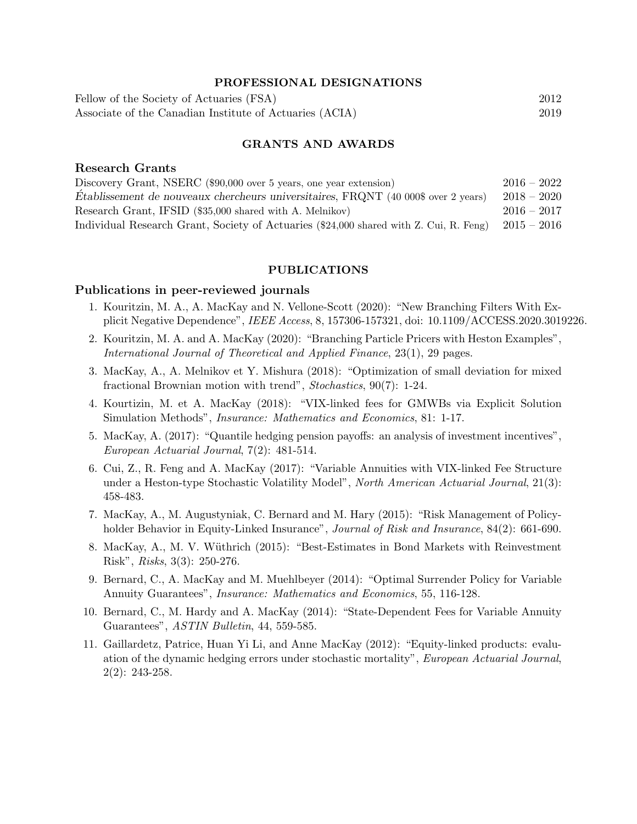#### PROFESSIONAL DESIGNATIONS

Fellow of the Society of Actuaries (FSA) 2012 Associate of the Canadian Institute of Actuaries (ACIA) 2019

## GRANTS AND AWARDS

#### Research Grants

| Discovery Grant, NSERC (\$90,000 over 5 years, one year extension)                     | $2016 - 2022$ |
|----------------------------------------------------------------------------------------|---------------|
| Etablissement de nouveaux chercheurs universitaires, FRQNT (40 000\$ over 2 years)     | $2018 - 2020$ |
| Research Grant, IFSID (\$35,000 shared with A. Melnikov)                               | $2016 - 2017$ |
| Individual Research Grant, Society of Actuaries (\$24,000 shared with Z. Cui, R. Feng) | $2015-2016$   |

#### PUBLICATIONS

#### Publications in peer-reviewed journals

- 1. Kouritzin, M. A., A. MacKay and N. Vellone-Scott (2020): "New Branching Filters With Explicit Negative Dependence", IEEE Access, 8, 157306-157321, doi: 10.1109/ACCESS.2020.3019226.
- 2. Kouritzin, M. A. and A. MacKay (2020): "Branching Particle Pricers with Heston Examples", International Journal of Theoretical and Applied Finance, 23(1), 29 pages.
- 3. MacKay, A., A. Melnikov et Y. Mishura (2018): "Optimization of small deviation for mixed fractional Brownian motion with trend", Stochastics, 90(7): 1-24.
- 4. Kourtizin, M. et A. MacKay (2018): "VIX-linked fees for GMWBs via Explicit Solution Simulation Methods", Insurance: Mathematics and Economics, 81: 1-17.
- 5. MacKay, A. (2017): "Quantile hedging pension payoffs: an analysis of investment incentives", European Actuarial Journal, 7(2): 481-514.
- 6. Cui, Z., R. Feng and A. MacKay (2017): "Variable Annuities with VIX-linked Fee Structure under a Heston-type Stochastic Volatility Model", North American Actuarial Journal, 21(3): 458-483.
- 7. MacKay, A., M. Augustyniak, C. Bernard and M. Hary (2015): "Risk Management of Policyholder Behavior in Equity-Linked Insurance", Journal of Risk and Insurance, 84(2): 661-690.
- 8. MacKay, A., M. V. Wüthrich (2015): "Best-Estimates in Bond Markets with Reinvestment Risk", Risks, 3(3): 250-276.
- 9. Bernard, C., A. MacKay and M. Muehlbeyer (2014): "Optimal Surrender Policy for Variable Annuity Guarantees", Insurance: Mathematics and Economics, 55, 116-128.
- 10. Bernard, C., M. Hardy and A. MacKay (2014): "State-Dependent Fees for Variable Annuity Guarantees", ASTIN Bulletin, 44, 559-585.
- 11. Gaillardetz, Patrice, Huan Yi Li, and Anne MacKay (2012): "Equity-linked products: evaluation of the dynamic hedging errors under stochastic mortality", European Actuarial Journal, 2(2): 243-258.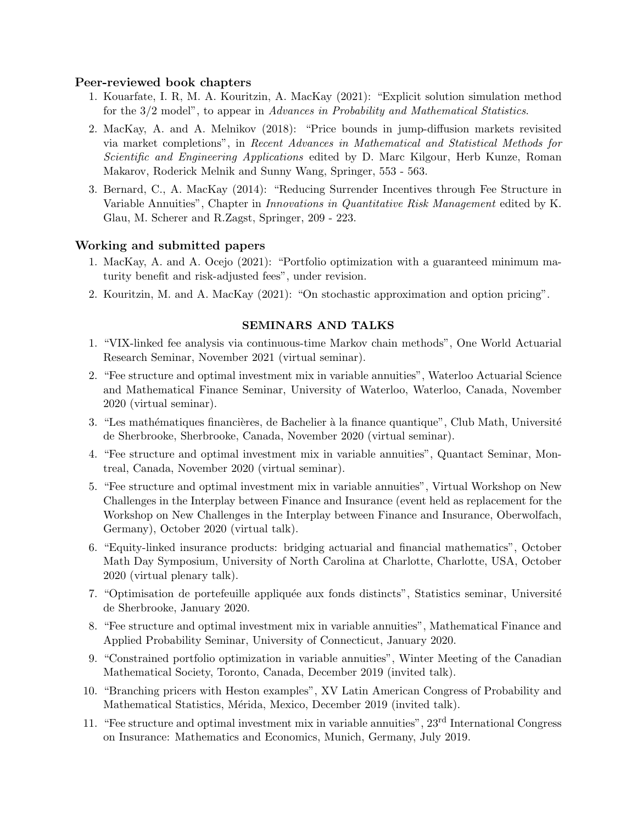## Peer-reviewed book chapters

- 1. Kouarfate, I. R, M. A. Kouritzin, A. MacKay (2021): "Explicit solution simulation method for the 3/2 model", to appear in Advances in Probability and Mathematical Statistics.
- 2. MacKay, A. and A. Melnikov (2018): "Price bounds in jump-diffusion markets revisited via market completions", in Recent Advances in Mathematical and Statistical Methods for Scientific and Engineering Applications edited by D. Marc Kilgour, Herb Kunze, Roman Makarov, Roderick Melnik and Sunny Wang, Springer, 553 - 563.
- 3. Bernard, C., A. MacKay (2014): "Reducing Surrender Incentives through Fee Structure in Variable Annuities", Chapter in *Innovations in Quantitative Risk Management* edited by K. Glau, M. Scherer and R.Zagst, Springer, 209 - 223.

## Working and submitted papers

- 1. MacKay, A. and A. Ocejo (2021): "Portfolio optimization with a guaranteed minimum maturity benefit and risk-adjusted fees", under revision.
- 2. Kouritzin, M. and A. MacKay (2021): "On stochastic approximation and option pricing".

## SEMINARS AND TALKS

- 1. "VIX-linked fee analysis via continuous-time Markov chain methods", One World Actuarial Research Seminar, November 2021 (virtual seminar).
- 2. "Fee structure and optimal investment mix in variable annuities", Waterloo Actuarial Science and Mathematical Finance Seminar, University of Waterloo, Waterloo, Canada, November 2020 (virtual seminar).
- 3. "Les mathématiques financières, de Bachelier à la finance quantique", Club Math, Université de Sherbrooke, Sherbrooke, Canada, November 2020 (virtual seminar).
- 4. "Fee structure and optimal investment mix in variable annuities", Quantact Seminar, Montreal, Canada, November 2020 (virtual seminar).
- 5. "Fee structure and optimal investment mix in variable annuities", Virtual Workshop on New Challenges in the Interplay between Finance and Insurance (event held as replacement for the Workshop on New Challenges in the Interplay between Finance and Insurance, Oberwolfach, Germany), October 2020 (virtual talk).
- 6. "Equity-linked insurance products: bridging actuarial and financial mathematics", October Math Day Symposium, University of North Carolina at Charlotte, Charlotte, USA, October 2020 (virtual plenary talk).
- 7. "Optimisation de portefeuille appliquée aux fonds distincts", Statistics seminar, Université de Sherbrooke, January 2020.
- 8. "Fee structure and optimal investment mix in variable annuities", Mathematical Finance and Applied Probability Seminar, University of Connecticut, January 2020.
- 9. "Constrained portfolio optimization in variable annuities", Winter Meeting of the Canadian Mathematical Society, Toronto, Canada, December 2019 (invited talk).
- 10. "Branching pricers with Heston examples", XV Latin American Congress of Probability and Mathematical Statistics, Mérida, Mexico, December 2019 (invited talk).
- 11. "Fee structure and optimal investment mix in variable annuities", 23rd International Congress on Insurance: Mathematics and Economics, Munich, Germany, July 2019.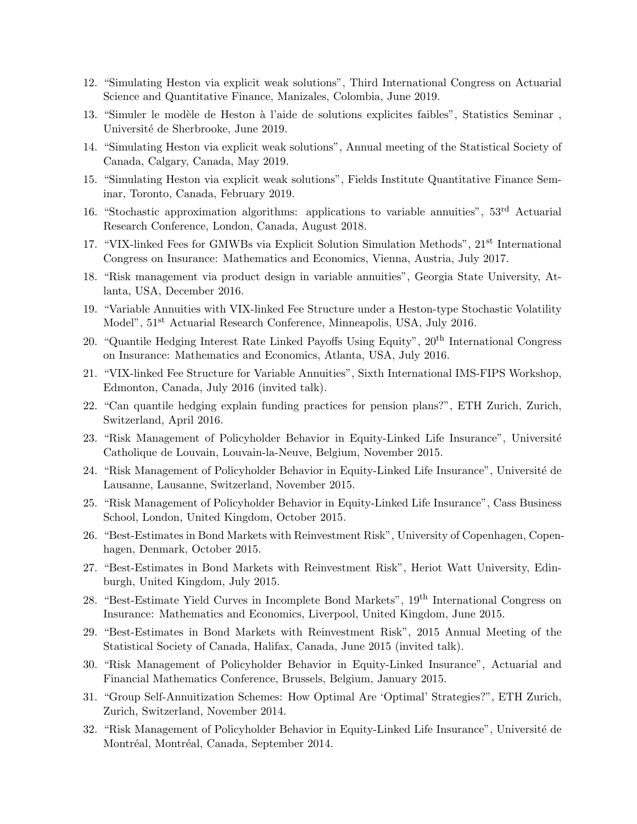- 12. "Simulating Heston via explicit weak solutions", Third International Congress on Actuarial Science and Quantitative Finance, Manizales, Colombia, June 2019.
- 13. "Simuler le modèle de Heston à l'aide de solutions explicites faibles", Statistics Seminar, Université de Sherbrooke, June 2019.
- 14. "Simulating Heston via explicit weak solutions", Annual meeting of the Statistical Society of Canada, Calgary, Canada, May 2019.
- 15. "Simulating Heston via explicit weak solutions", Fields Institute Quantitative Finance Seminar, Toronto, Canada, February 2019.
- 16. "Stochastic approximation algorithms: applications to variable annuities", 53rd Actuarial Research Conference, London, Canada, August 2018.
- 17. "VIX-linked Fees for GMWBs via Explicit Solution Simulation Methods", 21st International Congress on Insurance: Mathematics and Economics, Vienna, Austria, July 2017.
- 18. "Risk management via product design in variable annuities", Georgia State University, Atlanta, USA, December 2016.
- 19. "Variable Annuities with VIX-linked Fee Structure under a Heston-type Stochastic Volatility Model",  $51<sup>st</sup>$  Actuarial Research Conference, Minneapolis, USA, July 2016.
- 20. "Quantile Hedging Interest Rate Linked Payoffs Using Equity", 20th International Congress on Insurance: Mathematics and Economics, Atlanta, USA, July 2016.
- 21. "VIX-linked Fee Structure for Variable Annuities", Sixth International IMS-FIPS Workshop, Edmonton, Canada, July 2016 (invited talk).
- 22. "Can quantile hedging explain funding practices for pension plans?", ETH Zurich, Zurich, Switzerland, April 2016.
- 23. "Risk Management of Policyholder Behavior in Equity-Linked Life Insurance", Université Catholique de Louvain, Louvain-la-Neuve, Belgium, November 2015.
- 24. "Risk Management of Policyholder Behavior in Equity-Linked Life Insurance", Université de Lausanne, Lausanne, Switzerland, November 2015.
- 25. "Risk Management of Policyholder Behavior in Equity-Linked Life Insurance", Cass Business School, London, United Kingdom, October 2015.
- 26. "Best-Estimates in Bond Markets with Reinvestment Risk", University of Copenhagen, Copenhagen, Denmark, October 2015.
- 27. "Best-Estimates in Bond Markets with Reinvestment Risk", Heriot Watt University, Edinburgh, United Kingdom, July 2015.
- 28. "Best-Estimate Yield Curves in Incomplete Bond Markets", 19th International Congress on Insurance: Mathematics and Economics, Liverpool, United Kingdom, June 2015.
- 29. "Best-Estimates in Bond Markets with Reinvestment Risk", 2015 Annual Meeting of the Statistical Society of Canada, Halifax, Canada, June 2015 (invited talk).
- 30. "Risk Management of Policyholder Behavior in Equity-Linked Insurance", Actuarial and Financial Mathematics Conference, Brussels, Belgium, January 2015.
- 31. "Group Self-Annuitization Schemes: How Optimal Are 'Optimal' Strategies?", ETH Zurich, Zurich, Switzerland, November 2014.
- 32. "Risk Management of Policyholder Behavior in Equity-Linked Life Insurance", Université de Montréal, Montréal, Canada, September 2014.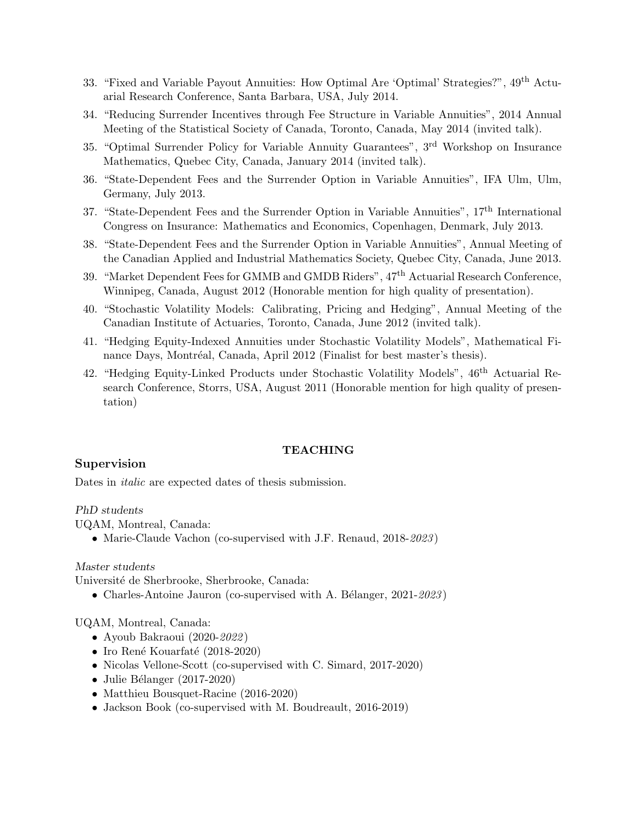- 33. "Fixed and Variable Payout Annuities: How Optimal Are 'Optimal' Strategies?", 49th Actuarial Research Conference, Santa Barbara, USA, July 2014.
- 34. "Reducing Surrender Incentives through Fee Structure in Variable Annuities", 2014 Annual Meeting of the Statistical Society of Canada, Toronto, Canada, May 2014 (invited talk).
- 35. "Optimal Surrender Policy for Variable Annuity Guarantees", 3rd Workshop on Insurance Mathematics, Quebec City, Canada, January 2014 (invited talk).
- 36. "State-Dependent Fees and the Surrender Option in Variable Annuities", IFA Ulm, Ulm, Germany, July 2013.
- 37. "State-Dependent Fees and the Surrender Option in Variable Annuities", 17th International Congress on Insurance: Mathematics and Economics, Copenhagen, Denmark, July 2013.
- 38. "State-Dependent Fees and the Surrender Option in Variable Annuities", Annual Meeting of the Canadian Applied and Industrial Mathematics Society, Quebec City, Canada, June 2013.
- 39. "Market Dependent Fees for GMMB and GMDB Riders", 47th Actuarial Research Conference, Winnipeg, Canada, August 2012 (Honorable mention for high quality of presentation).
- 40. "Stochastic Volatility Models: Calibrating, Pricing and Hedging", Annual Meeting of the Canadian Institute of Actuaries, Toronto, Canada, June 2012 (invited talk).
- 41. "Hedging Equity-Indexed Annuities under Stochastic Volatility Models", Mathematical Finance Days, Montréal, Canada, April 2012 (Finalist for best master's thesis).
- 42. "Hedging Equity-Linked Products under Stochastic Volatility Models", 46th Actuarial Research Conference, Storrs, USA, August 2011 (Honorable mention for high quality of presentation)

#### TEACHING

## Supervision

Dates in *italic* are expected dates of thesis submission.

#### PhD students

UQAM, Montreal, Canada:

• Marie-Claude Vachon (co-supervised with J.F. Renaud, 2018-2023)

#### Master students

Université de Sherbrooke, Sherbrooke, Canada:

• Charles-Antoine Jauron (co-supervised with A. Bélanger,  $2021-2023$ )

#### UQAM, Montreal, Canada:

- Ayoub Bakraoui (2020-2022)
- Iro René Kouarfaté (2018-2020)
- Nicolas Vellone-Scott (co-supervised with C. Simard, 2017-2020)
- Julie Bélanger  $(2017-2020)$
- Matthieu Bousquet-Racine (2016-2020)
- Jackson Book (co-supervised with M. Boudreault, 2016-2019)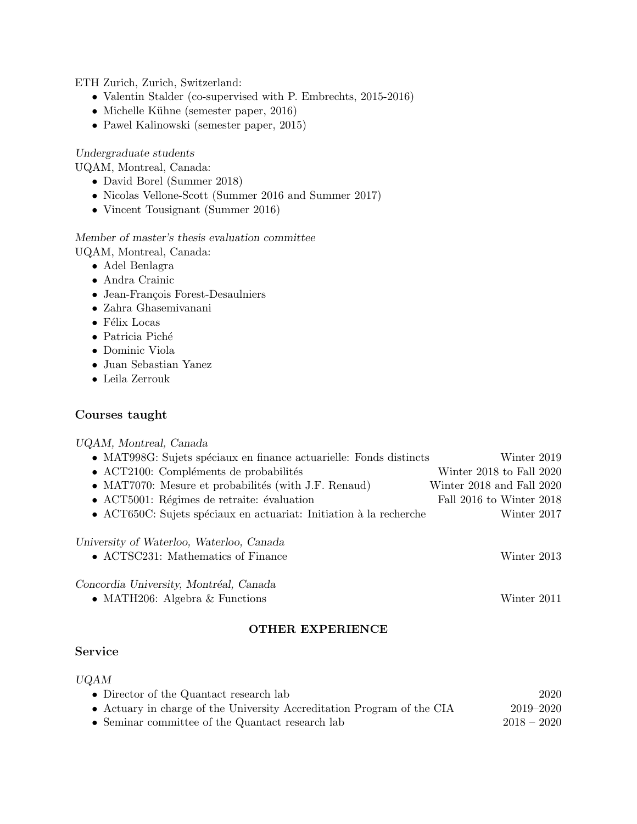ETH Zurich, Zurich, Switzerland:

- Valentin Stalder (co-supervised with P. Embrechts, 2015-2016)
- Michelle Kühne (semester paper, 2016)
- Pawel Kalinowski (semester paper, 2015)

Undergraduate students

UQAM, Montreal, Canada:

- David Borel (Summer 2018)
- Nicolas Vellone-Scott (Summer 2016 and Summer 2017)
- Vincent Tousignant (Summer 2016)

Member of master's thesis evaluation committee

- UQAM, Montreal, Canada:
	- Adel Benlagra
	- Andra Crainic
	- Jean-François Forest-Desaulniers
	- Zahra Ghasemivanani
	- $\bullet\,$  Félix Locas
	- $\bullet\,$  Patricia Piché
	- Dominic Viola
	- Juan Sebastian Yanez
	- Leila Zerrouk

## Courses taught

| UQAM, Montreal, Canada                                                                  |                           |  |
|-----------------------------------------------------------------------------------------|---------------------------|--|
| • MAT998G: Sujets spéciaux en finance actuarielle: Fonds distincts                      | Winter 2019               |  |
| • ACT2100: Compléments de probabilités                                                  | Winter 2018 to Fall 2020  |  |
| • MAT7070: Mesure et probabilités (with J.F. Renaud)                                    | Winter 2018 and Fall 2020 |  |
| • ACT5001: Régimes de retraite: évaluation                                              | Fall 2016 to Winter 2018  |  |
| • ACT650C: Sujets spéciaux en actuariat: Initiation à la recherche                      | Winter 2017               |  |
| University of Waterloo, Waterloo, Canada<br>• $\Lambda$ CTSC231: Mathematics of Finance | Winter 2013               |  |
| Concordia University, Montréal, Canada                                                  |                           |  |
| • MATH206: Algebra $\&$ Functions                                                       | Winter 2011               |  |
| THER EXPERIENCE                                                                         |                           |  |

## Service

## UQAM

| • Director of the Quantact research lab                                | 2020          |
|------------------------------------------------------------------------|---------------|
| • Actuary in charge of the University Accreditation Program of the CIA | 2019–2020     |
| • Seminar committee of the Quantact research lab                       | $2018 - 2020$ |